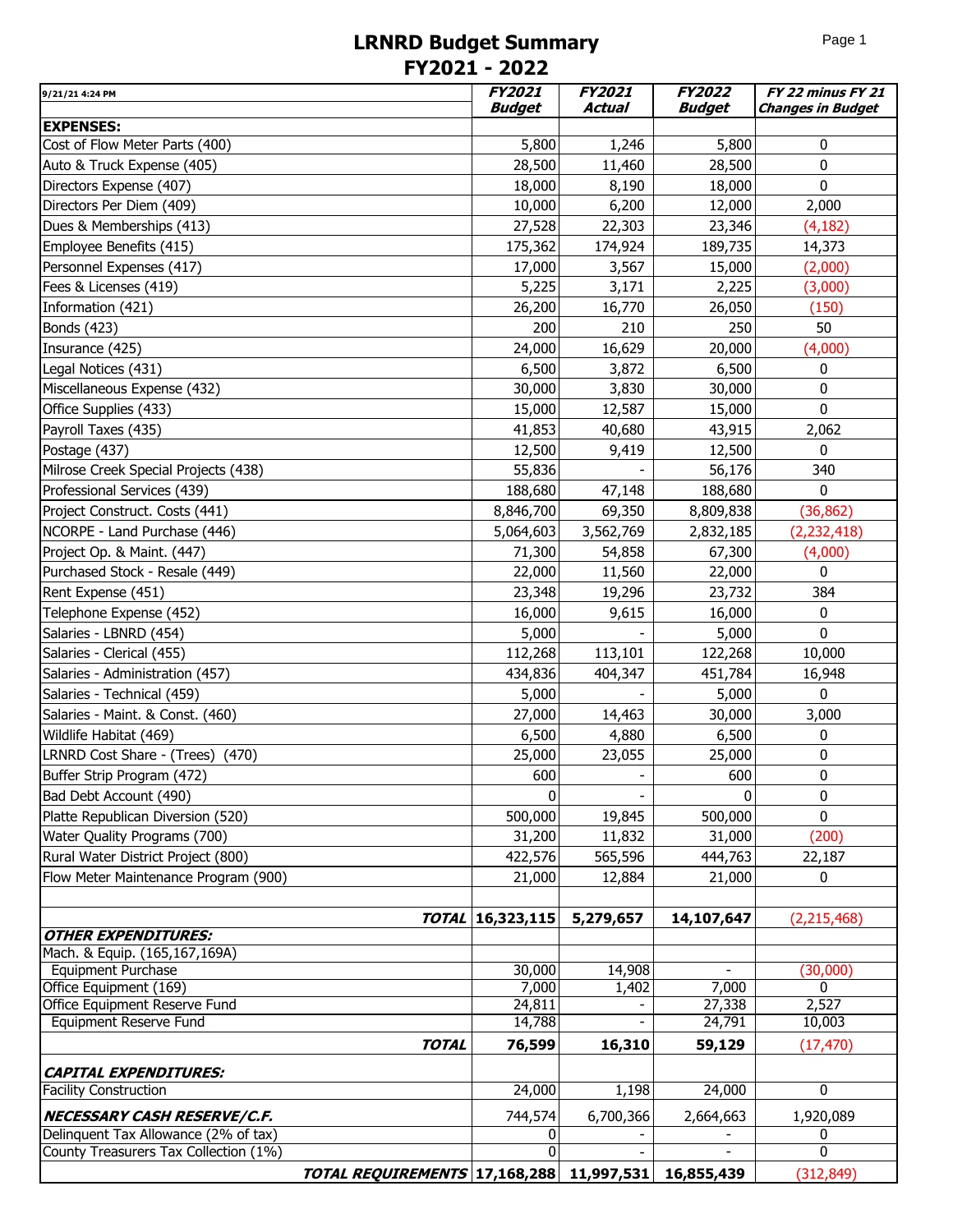## **LRNRD Budget Summary FY2021 - 2022**

| 9/21/21 4:24 PM                                              | <b>FY2021</b>    | <b>FY2021</b>   | <b>FY2022</b> | FY 22 minus FY 21        |
|--------------------------------------------------------------|------------------|-----------------|---------------|--------------------------|
|                                                              | <b>Budget</b>    | Actual          | Budget        | <b>Changes in Budget</b> |
| <b>EXPENSES:</b>                                             | 5,800            |                 | 5,800         | 0                        |
| Cost of Flow Meter Parts (400)<br>Auto & Truck Expense (405) | 28,500           | 1,246<br>11,460 | 28,500        | 0                        |
|                                                              |                  |                 |               | $\mathbf 0$              |
| Directors Expense (407)                                      | 18,000           | 8,190           | 18,000        |                          |
| Directors Per Diem (409)                                     | 10,000           | 6,200           | 12,000        | 2,000                    |
| Dues & Memberships (413)                                     | 27,528           | 22,303          | 23,346        | (4,182)                  |
| Employee Benefits (415)                                      | 175,362          | 174,924         | 189,735       | 14,373                   |
| Personnel Expenses (417)                                     | 17,000           | 3,567           | 15,000        | (2,000)                  |
| Fees & Licenses (419)                                        | 5,225            | 3,171           | 2,225         | (3,000)                  |
| Information (421)                                            | 26,200           | 16,770          | 26,050        | (150)                    |
| Bonds (423)                                                  | 200              | 210             | 250           | 50                       |
| Insurance (425)                                              | 24,000           | 16,629          | 20,000        | (4,000)                  |
| Legal Notices (431)                                          | 6,500            | 3,872           | 6,500         | 0                        |
| Miscellaneous Expense (432)                                  | 30,000           | 3,830           | 30,000        | $\mathbf 0$              |
| Office Supplies (433)                                        | 15,000           | 12,587          | 15,000        | $\mathbf 0$              |
| Payroll Taxes (435)                                          | 41,853           | 40,680          | 43,915        | 2,062                    |
| Postage (437)                                                | 12,500           | 9,419           | 12,500        | 0                        |
| Milrose Creek Special Projects (438)                         | 55,836           |                 | 56,176        | 340                      |
| Professional Services (439)                                  | 188,680          | 47,148          | 188,680       | 0                        |
| Project Construct. Costs (441)                               | 8,846,700        | 69,350          | 8,809,838     | (36, 862)                |
| NCORPE - Land Purchase (446)                                 | 5,064,603        | 3,562,769       | 2,832,185     | (2, 232, 418)            |
| Project Op. & Maint. (447)                                   | 71,300           | 54,858          | 67,300        | (4,000)                  |
| Purchased Stock - Resale (449)                               | 22,000           | 11,560          | 22,000        | 0                        |
| Rent Expense (451)                                           | 23,348           | 19,296          | 23,732        | 384                      |
| Telephone Expense (452)                                      | 16,000           | 9,615           | 16,000        | 0                        |
| Salaries - LBNRD (454)                                       | 5,000            |                 | 5,000         | 0                        |
| Salaries - Clerical (455)                                    | 112,268          | 113,101         | 122,268       | 10,000                   |
| Salaries - Administration (457)                              | 434,836          | 404,347         | 451,784       | 16,948                   |
| Salaries - Technical (459)                                   | 5,000            |                 | 5,000         | 0                        |
| Salaries - Maint. & Const. (460)                             | 27,000           | 14,463          | 30,000        | 3,000                    |
| Wildlife Habitat (469)                                       | 6,500            | 4,880           | 6,500         | 0                        |
| LRNRD Cost Share - (Trees) (470)                             | 25,000           | 23,055          | 25,000        | 0                        |
| Buffer Strip Program (472)                                   | 600              |                 | 600           | 0                        |
| Bad Debt Account (490)                                       | 0                |                 | $\Omega$      | 0                        |
| Platte Republican Diversion (520)                            | 500,000          | 19,845          | 500,000       | $\Omega$                 |
| Water Quality Programs (700)                                 | 31,200           | 11,832          | 31,000        | (200)                    |
| Rural Water District Project (800)                           | 422,576          | 565,596         | 444,763       | 22,187                   |
| Flow Meter Maintenance Program (900)                         | 21,000           | 12,884          | 21,000        | 0                        |
|                                                              |                  |                 |               |                          |
|                                                              | TOTAL 16,323,115 | 5,279,657       | 14,107,647    | (2, 215, 468)            |
| OTHER EXPENDITURES:                                          |                  |                 |               |                          |
| Mach. & Equip. (165,167,169A)                                |                  |                 |               |                          |
| Equipment Purchase                                           | 30,000           | 14,908          |               | (30,000)                 |
| Office Equipment (169)                                       | 7,000            | 1,402           | 7,000         | $\mathbf{0}$             |
| Office Equipment Reserve Fund                                | 24,811           |                 | 27,338        | 2,527                    |
| <b>Equipment Reserve Fund</b>                                | 14,788           |                 | 24,791        | 10,003                   |
| <b>TOTAL</b>                                                 | 76,599           | 16,310          | 59,129        | (17, 470)                |
| <b>CAPITAL EXPENDITURES:</b>                                 |                  |                 |               |                          |
| <b>Facility Construction</b>                                 | 24,000           | 1,198           | 24,000        | $\overline{0}$           |
| NECESSARY CASH RESERVE/C.F.                                  | 744,574          | 6,700,366       | 2,664,663     | 1,920,089                |
| Delinquent Tax Allowance (2% of tax)                         | 0                |                 |               | 0                        |
| County Treasurers Tax Collection (1%)                        | $\Omega$         |                 |               | $\mathbf{0}$             |
| TOTAL REQUIREMENTS 17,168,288 11,997,531                     |                  |                 | 16,855,439    | (312, 849)               |